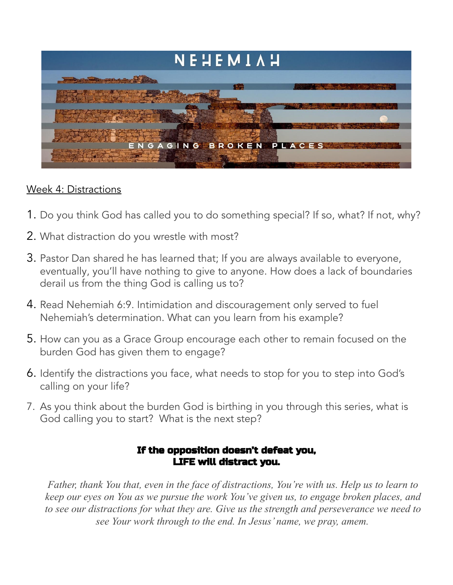

## Week 4: Distractions

- 1. Do you think God has called you to do something special? If so, what? If not, why?
- 2. What distraction do you wrestle with most?
- 3. Pastor Dan shared he has learned that; If you are always available to everyone, eventually, you'll have nothing to give to anyone. How does a lack of boundaries derail us from the thing God is calling us to?
- 4. Read Nehemiah 6:9. Intimidation and discouragement only served to fuel Nehemiah's determination. What can you learn from his example?
- 5. How can you as a Grace Group encourage each other to remain focused on the burden God has given them to engage?
- 6. Identify the distractions you face, what needs to stop for you to step into God's calling on your life?
- 7. As you think about the burden God is birthing in you through this series, what is God calling you to start? What is the next step?

## If the opposition doesn't defeat you, LIFE will distract you.

*Father, thank You that, even in the face of distractions, You're with us. Help us to learn to keep our eyes on You as we pursue the work You've given us, to engage broken places, and to see our distractions for what they are. Give us the strength and perseverance we need to see Your work through to the end. In Jesus' name, we pray, amem.*